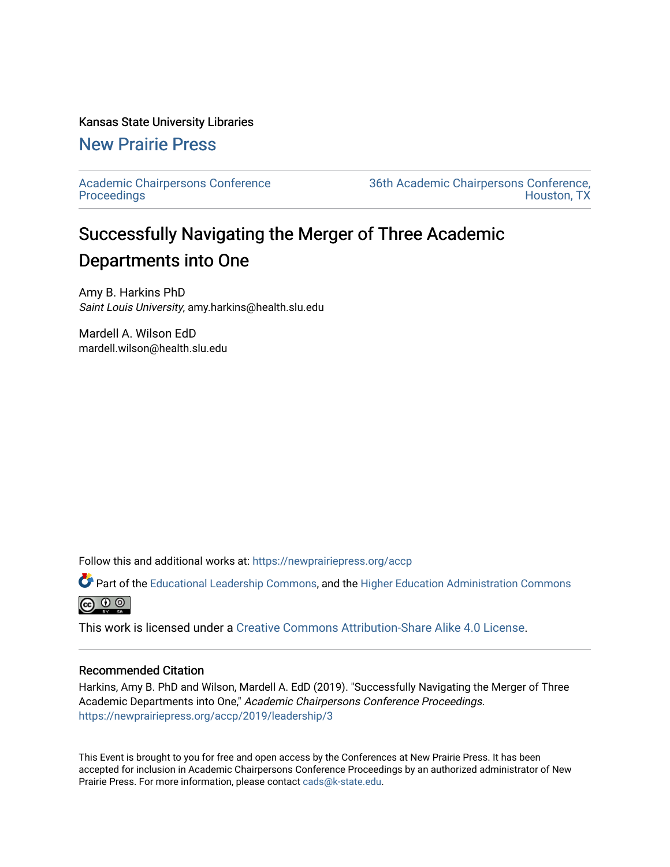### Kansas State University Libraries

## [New Prairie Press](https://newprairiepress.org/)

[Academic Chairpersons Conference](https://newprairiepress.org/accp)  **Proceedings** 

[36th Academic Chairpersons Conference,](https://newprairiepress.org/accp/2019)  [Houston, TX](https://newprairiepress.org/accp/2019) 

# Successfully Navigating the Merger of Three Academic Departments into One

Amy B. Harkins PhD Saint Louis University, amy.harkins@health.slu.edu

Mardell A. Wilson EdD mardell.wilson@health.slu.edu

Follow this and additional works at: [https://newprairiepress.org/accp](https://newprairiepress.org/accp?utm_source=newprairiepress.org%2Faccp%2F2019%2Fleadership%2F3&utm_medium=PDF&utm_campaign=PDFCoverPages) 

Part of the [Educational Leadership Commons,](http://network.bepress.com/hgg/discipline/1230?utm_source=newprairiepress.org%2Faccp%2F2019%2Fleadership%2F3&utm_medium=PDF&utm_campaign=PDFCoverPages) and the [Higher Education Administration Commons](http://network.bepress.com/hgg/discipline/791?utm_source=newprairiepress.org%2Faccp%2F2019%2Fleadership%2F3&utm_medium=PDF&utm_campaign=PDFCoverPages) **@** ⊙ ⊚

This work is licensed under a [Creative Commons Attribution-Share Alike 4.0 License.](https://creativecommons.org/licenses/by-sa/4.0/)

### Recommended Citation

Harkins, Amy B. PhD and Wilson, Mardell A. EdD (2019). "Successfully Navigating the Merger of Three Academic Departments into One," Academic Chairpersons Conference Proceedings. <https://newprairiepress.org/accp/2019/leadership/3>

This Event is brought to you for free and open access by the Conferences at New Prairie Press. It has been accepted for inclusion in Academic Chairpersons Conference Proceedings by an authorized administrator of New Prairie Press. For more information, please contact [cads@k-state.edu.](mailto:cads@k-state.edu)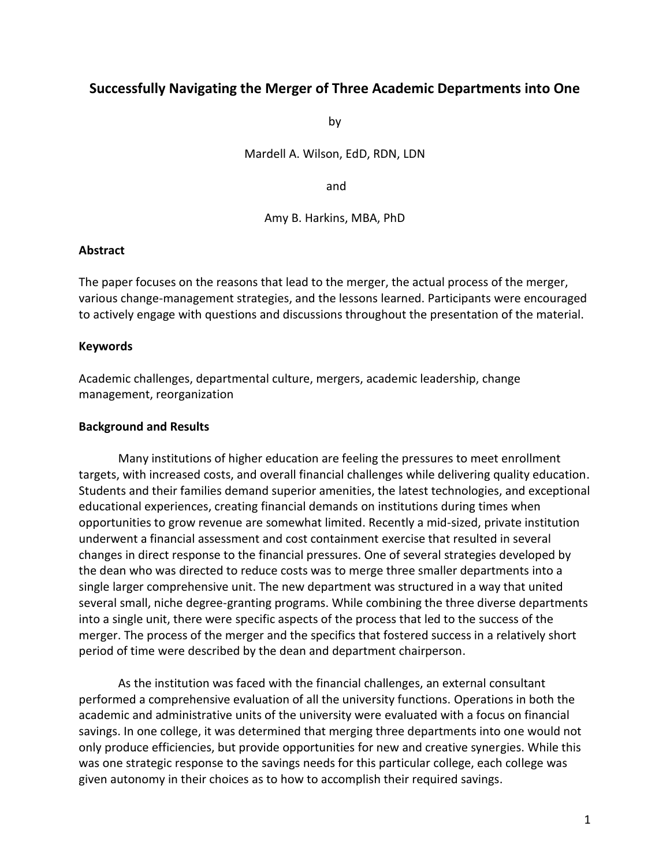### **Successfully Navigating the Merger of Three Academic Departments into One**

by

Mardell A. Wilson, EdD, RDN, LDN

and

Amy B. Harkins, MBA, PhD

### **Abstract**

The paper focuses on the reasons that lead to the merger, the actual process of the merger, various change-management strategies, and the lessons learned. Participants were encouraged to actively engage with questions and discussions throughout the presentation of the material.

### **Keywords**

Academic challenges, departmental culture, mergers, academic leadership, change management, reorganization

#### **Background and Results**

Many institutions of higher education are feeling the pressures to meet enrollment targets, with increased costs, and overall financial challenges while delivering quality education. Students and their families demand superior amenities, the latest technologies, and exceptional educational experiences, creating financial demands on institutions during times when opportunities to grow revenue are somewhat limited. Recently a mid-sized, private institution underwent a financial assessment and cost containment exercise that resulted in several changes in direct response to the financial pressures. One of several strategies developed by the dean who was directed to reduce costs was to merge three smaller departments into a single larger comprehensive unit. The new department was structured in a way that united several small, niche degree-granting programs. While combining the three diverse departments into a single unit, there were specific aspects of the process that led to the success of the merger. The process of the merger and the specifics that fostered success in a relatively short period of time were described by the dean and department chairperson.

As the institution was faced with the financial challenges, an external consultant performed a comprehensive evaluation of all the university functions. Operations in both the academic and administrative units of the university were evaluated with a focus on financial savings. In one college, it was determined that merging three departments into one would not only produce efficiencies, but provide opportunities for new and creative synergies. While this was one strategic response to the savings needs for this particular college, each college was given autonomy in their choices as to how to accomplish their required savings.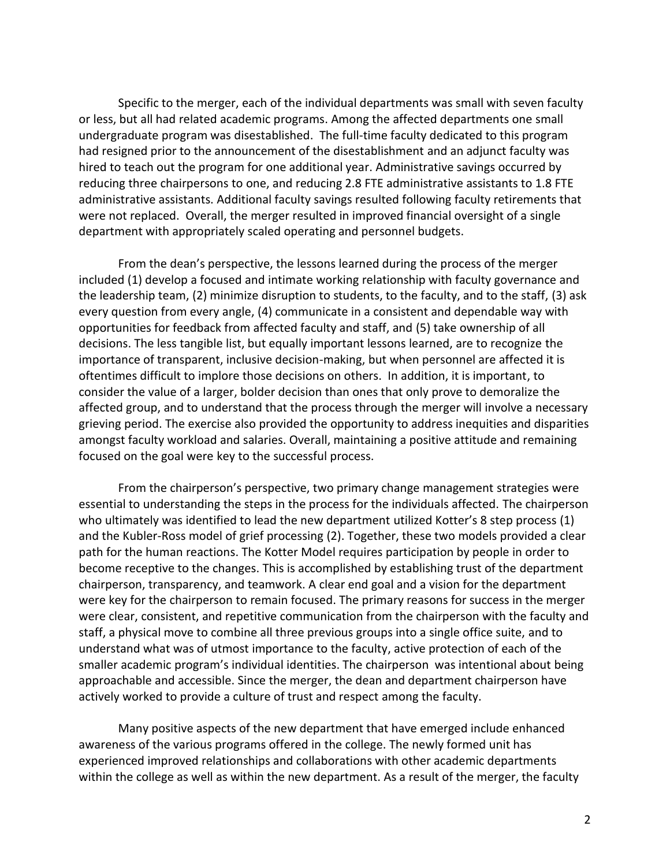Specific to the merger, each of the individual departments was small with seven faculty or less, but all had related academic programs. Among the affected departments one small undergraduate program was disestablished. The full-time faculty dedicated to this program had resigned prior to the announcement of the disestablishment and an adjunct faculty was hired to teach out the program for one additional year. Administrative savings occurred by reducing three chairpersons to one, and reducing 2.8 FTE administrative assistants to 1.8 FTE administrative assistants. Additional faculty savings resulted following faculty retirements that were not replaced. Overall, the merger resulted in improved financial oversight of a single department with appropriately scaled operating and personnel budgets.

From the dean's perspective, the lessons learned during the process of the merger included (1) develop a focused and intimate working relationship with faculty governance and the leadership team, (2) minimize disruption to students, to the faculty, and to the staff, (3) ask every question from every angle, (4) communicate in a consistent and dependable way with opportunities for feedback from affected faculty and staff, and (5) take ownership of all decisions. The less tangible list, but equally important lessons learned, are to recognize the importance of transparent, inclusive decision-making, but when personnel are affected it is oftentimes difficult to implore those decisions on others. In addition, it is important, to consider the value of a larger, bolder decision than ones that only prove to demoralize the affected group, and to understand that the process through the merger will involve a necessary grieving period. The exercise also provided the opportunity to address inequities and disparities amongst faculty workload and salaries. Overall, maintaining a positive attitude and remaining focused on the goal were key to the successful process.

From the chairperson's perspective, two primary change management strategies were essential to understanding the steps in the process for the individuals affected. The chairperson who ultimately was identified to lead the new department utilized Kotter's 8 step process (1) and the Kubler-Ross model of grief processing (2). Together, these two models provided a clear path for the human reactions. The Kotter Model requires participation by people in order to become receptive to the changes. This is accomplished by establishing trust of the department chairperson, transparency, and teamwork. A clear end goal and a vision for the department were key for the chairperson to remain focused. The primary reasons for success in the merger were clear, consistent, and repetitive communication from the chairperson with the faculty and staff, a physical move to combine all three previous groups into a single office suite, and to understand what was of utmost importance to the faculty, active protection of each of the smaller academic program's individual identities. The chairperson was intentional about being approachable and accessible. Since the merger, the dean and department chairperson have actively worked to provide a culture of trust and respect among the faculty.

Many positive aspects of the new department that have emerged include enhanced awareness of the various programs offered in the college. The newly formed unit has experienced improved relationships and collaborations with other academic departments within the college as well as within the new department. As a result of the merger, the faculty